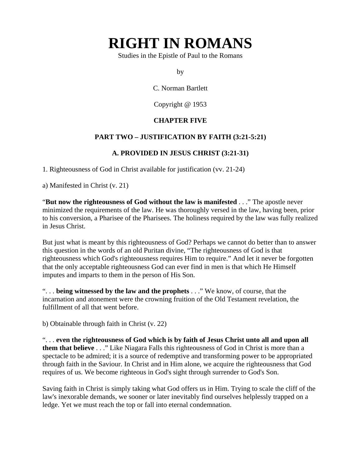# **RIGHT IN ROMANS**

Studies in the Epistle of Paul to the Romans

by

C. Norman Bartlett

Copyright @ 1953

## **CHAPTER FIVE**

### **PART TWO – JUSTIFICATION BY FAITH (3:21-5:21)**

#### **A. PROVIDED IN JESUS CHRIST (3:21-31)**

1. Righteousness of God in Christ available for justification (vv. 21-24)

a) Manifested in Christ (v. 21)

"**But now the righteousness of God without the law is manifested** . . ." The apostle never minimized the requirements of the law. He was thoroughly versed in the law, having been, prior to his conversion, a Pharisee of the Pharisees. The holiness required by the law was fully realized in Jesus Christ.

But just what is meant by this righteousness of God? Perhaps we cannot do better than to answer this question in the words of an old Puritan divine, "The righteousness of God is that righteousness which God's righteousness requires Him to require." And let it never be forgotten that the only acceptable righteousness God can ever find in men is that which He Himself imputes and imparts to them in the person of His Son.

". . . **being witnessed by the law and the prophets** . . ." We know, of course, that the incarnation and atonement were the crowning fruition of the Old Testament revelation, the fulfillment of all that went before.

b) Obtainable through faith in Christ (v. 22)

". . . **even the righteousness of God which is by faith of Jesus Christ unto all and upon all them that believe** . . ." Like Niagara Falls this righteousness of God in Christ is more than a spectacle to be admired; it is a source of redemptive and transforming power to be appropriated through faith in the Saviour. In Christ and in Him alone, we acquire the righteousness that God requires of us. We become righteous in God's sight through surrender to God's Son.

Saving faith in Christ is simply taking what God offers us in Him. Trying to scale the cliff of the law's inexorable demands, we sooner or later inevitably find ourselves helplessly trapped on a ledge. Yet we must reach the top or fall into eternal condemnation.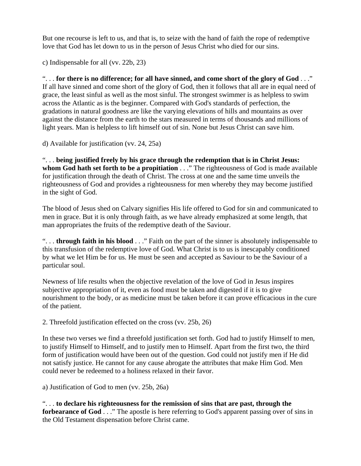But one recourse is left to us, and that is, to seize with the hand of faith the rope of redemptive love that God has let down to us in the person of Jesus Christ who died for our sins.

c) Indispensable for all (vv. 22b, 23)

". . . **for there is no difference; for all have sinned, and come short of the glory of God** . . ." If all have sinned and come short of the glory of God, then it follows that all are in equal need of grace, the least sinful as well as the most sinful. The strongest swimmer is as helpless to swim across the Atlantic as is the beginner. Compared with God's standards of perfection, the gradations in natural goodness are like the varying elevations of hills and mountains as over against the distance from the earth to the stars measured in terms of thousands and millions of light years. Man is helpless to lift himself out of sin. None but Jesus Christ can save him.

d) Available for justification (vv. 24, 25a)

". . . **being justified freely by his grace through the redemption that is in Christ Jesus: whom God hath set forth to be a propitiation** . . ." The righteousness of God is made available for justification through the death of Christ. The cross at one and the same time unveils the righteousness of God and provides a righteousness for men whereby they may become justified in the sight of God.

The blood of Jesus shed on Calvary signifies His life offered to God for sin and communicated to men in grace. But it is only through faith, as we have already emphasized at some length, that man appropriates the fruits of the redemptive death of the Saviour.

". . . **through faith in his blood** . . ." Faith on the part of the sinner is absolutely indispensable to this transfusion of the redemptive love of God. What Christ is to us is inescapably conditioned by what we let Him be for us. He must be seen and accepted as Saviour to be the Saviour of a particular soul.

Newness of life results when the objective revelation of the love of God in Jesus inspires subjective appropriation of it, even as food must be taken and digested if it is to give nourishment to the body, or as medicine must be taken before it can prove efficacious in the cure of the patient.

2. Threefold justification effected on the cross (vv. 25b, 26)

In these two verses we find a threefold justification set forth. God had to justify Himself to men, to justify Himself to Himself, and to justify men to Himself. Apart from the first two, the third form of justification would have been out of the question. God could not justify men if He did not satisfy justice. He cannot for any cause abrogate the attributes that make Him God. Men could never be redeemed to a holiness relaxed in their favor.

a) Justification of God to men (vv. 25b, 26a)

". . . **to declare his righteousness for the remission of sins that are past, through the forbearance of God** . . ." The apostle is here referring to God's apparent passing over of sins in the Old Testament dispensation before Christ came.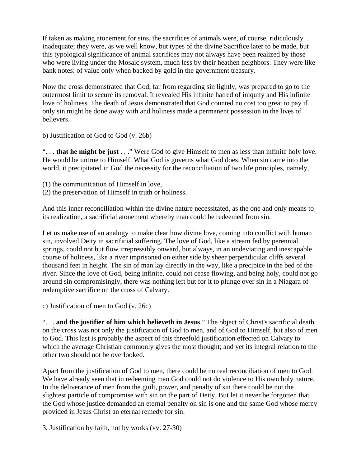If taken as making atonement for sins, the sacrifices of animals were, of course, ridiculously inadequate; they were, as we well know, but types of the divine Sacrifice later to be made, but this typological significance of animal sacrifices may not always have been realized by those who were living under the Mosaic system, much less by their heathen neighbors. They were like bank notes: of value only when backed by gold in the government treasury.

Now the cross demonstrated that God, far from regarding sin lightly, was prepared to go to the outermost limit to secure its removal. It revealed His infinite hatred of iniquity and His infinite love of holiness. The death of Jesus demonstrated that God counted no cost too great to pay if only sin might be done away with and holiness made a permanent possession in the lives of believers.

b) Justification of God to God (v. 26b)

". . . **that he might be just** . . ." Were God to give Himself to men as less than infinite holy love. He would be untrue to Himself. What God is governs what God does. When sin came into the world, it precipitated in God the necessity for the reconciliation of two life principles, namely,

- (1) the communication of Himself in love,
- (2) the preservation of Himself in truth or holiness.

And this inner reconciliation within the divine nature necessitated, as the one and only means to its realization, a sacrificial atonement whereby man could be redeemed from sin.

Let us make use of an analogy to make clear how divine love, coming into conflict with human sin, involved Deity in sacrificial suffering. The love of God, like a stream fed by perennial springs, could not but flow irrepressibly onward, but always, in an undeviating and inescapable course of holiness, like a river imprisoned on either side by sheer perpendicular cliffs several thousand feet in height. The sin of man lay directly in the way, like a precipice in the bed of the river. Since the love of God, being infinite, could not cease flowing, and being holy, could not go around sin compromisingly, there was nothing left but for it to plunge over sin in a Niagara of redemptive sacrifice on the cross of Calvary.

c) Justification of men to God (v. 26c)

". . . **and the justifier of him which believeth in Jesus**." The object of Christ's sacrificial death on the cross was not only the justification of God to men, and of God to Himself, but also of men to God. This last is probably the aspect of this threefold justification effected on Calvary to which the average Christian commonly gives the most thought; and yet its integral relation to the other two should not be overlooked.

Apart from the justification of God to men, there could be no real reconciliation of men to God. We have already seen that in redeeming man God could not do violence to His own holy nature. In the deliverance of men from the guilt, power, and penalty of sin there could be not the slightest particle of compromise with sin on the part of Deity. But let it never be forgotten that the God whose justice demanded an eternal penalty on sin is one and the same God whose mercy provided in Jesus Christ an eternal remedy for sin.

3. Justification by faith, not by works (vv. 27-30)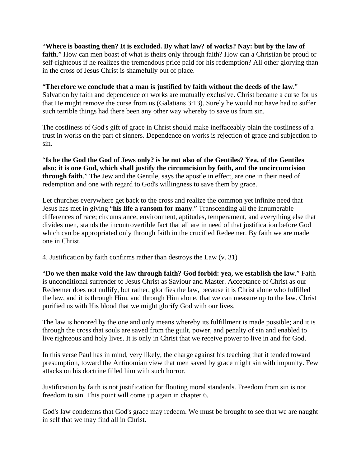"**Where is boasting then? It is excluded. By what law? of works? Nay: but by the law of faith**." How can men boast of what is theirs only through faith? How can a Christian be proud or self-righteous if he realizes the tremendous price paid for his redemption? All other glorying than in the cross of Jesus Christ is shamefully out of place.

"**Therefore we conclude that a man is justified by faith without the deeds of the law**." Salvation by faith and dependence on works are mutually exclusive. Christ became a curse for us that He might remove the curse from us (Galatians 3:13). Surely he would not have had to suffer such terrible things had there been any other way whereby to save us from sin.

The costliness of God's gift of grace in Christ should make ineffaceably plain the costliness of a trust in works on the part of sinners. Dependence on works is rejection of grace and subjection to sin.

"**Is he the God the God of Jews only? is he not also of the Gentiles? Yea, of the Gentiles also: it is one God, which shall justify the circumcision by faith, and the uncircumcision through faith**." The Jew and the Gentile, says the apostle in effect, are one in their need of redemption and one with regard to God's willingness to save them by grace.

Let churches everywhere get back to the cross and realize the common yet infinite need that Jesus has met in giving "**his life a ransom for many**." Transcending all the innumerable differences of race; circumstance, environment, aptitudes, temperament, and everything else that divides men, stands the incontrovertible fact that all are in need of that justification before God which can be appropriated only through faith in the crucified Redeemer. By faith we are made one in Christ.

4. Justification by faith confirms rather than destroys the Law (v. 31)

"**Do we then make void the law through faith? God forbid: yea, we establish the law**." Faith is unconditional surrender to Jesus Christ as Saviour and Master. Acceptance of Christ as our Redeemer does not nullify, but rather, glorifies the law, because it is Christ alone who fulfilled the law, and it is through Him, and through Him alone, that we can measure up to the law. Christ purified us with His blood that we might glorify God with our lives.

The law is honored by the one and only means whereby its fulfillment is made possible; and it is through the cross that souls are saved from the guilt, power, and penalty of sin and enabled to live righteous and holy lives. It is only in Christ that we receive power to live in and for God.

In this verse Paul has in mind, very likely, the charge against his teaching that it tended toward presumption, toward the Antinomian view that men saved by grace might sin with impunity. Few attacks on his doctrine filled him with such horror.

Justification by faith is not justification for flouting moral standards. Freedom from sin is not freedom to sin. This point will come up again in chapter 6.

God's law condemns that God's grace may redeem. We must be brought to see that we are naught in self that we may find all in Christ.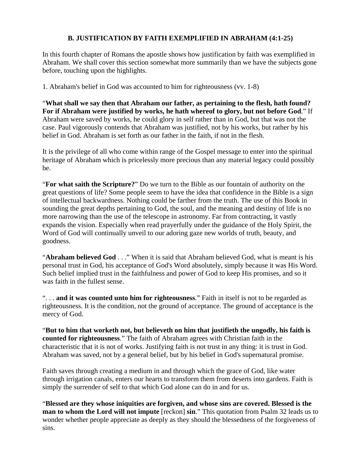### **B. JUSTIFICATION BY FAITH EXEMPLIFIED IN ABRAHAM (4:1-25)**

In this fourth chapter of Romans the apostle shows how justification by faith was exemplified in Abraham. We shall cover this section somewhat more summarily than we have the subjects gone before, touching upon the highlights.

1. Abraham's belief in God was accounted to him for righteousness (vv. 1-8)

"**What shall we say then that Abraham our father, as pertaining to the flesh, hath found? For if Abraham were justified by works, he hath whereof to glory, but not before God**." If Abraham were saved by works, he could glory in self rather than in God, but that was not the case. Paul vigorously contends that Abraham was justified, not by his works, but rather by his belief in God. Abraham is set forth as our father in the faith, if not in the flesh.

It is the privilege of all who come within range of the Gospel message to enter into the spiritual heritage of Abraham which is pricelessly more precious than any material legacy could possibly be.

"**For what saith the Scripture?**" Do we turn to the Bible as our fountain of authority on the great questions of life? Some people seem to have the idea that confidence in the Bible is a sign of intellectual backwardness. Nothing could be farther from the truth. The use of this Book in sounding the great depths pertaining to God, the soul, and the meaning and destiny of life is no more narrowing than the use of the telescope in astronomy. Far from contracting, it vastly expands the vision. Especially when read prayerfully under the guidance of the Holy Spirit, the Word of God will continually unveil to our adoring gaze new worlds of truth, beauty, and goodness.

"**Abraham believed God** . . ." When it is said that Abraham believed God, what is meant is his personal trust in God, his acceptance of God's Word absolutely, simply because it was His Word. Such belief implied trust in the faithfulness and power of God to keep His promises, and so it was faith in the fullest sense.

". . . **and it was counted unto him for righteousness**." Faith in itself is not to be regarded as righteousness. It is the condition, not the ground of acceptance. The ground of acceptance is the mercy of God.

"**But to him that worketh not, but believeth on him that justifieth the ungodly, his faith is counted for righteousness**." The faith of Abraham agrees with Christian faith in the characteristic that it is not of works. Justifying faith is not trust in any thing: it is trust in God. Abraham was saved, not by a general belief, but by his belief in God's supernatural promise.

Faith saves through creating a medium in and through which the grace of God, like water through irrigation canals, enters our hearts to transform them from deserts into gardens. Faith is simply the surrender of self to that which God alone can do in and for us.

"**Blessed are they whose iniquities are forgiven, and whose sins are covered. Blessed is the man to whom the Lord will not impute** [reckon] **sin**." This quotation from Psalm 32 leads us to wonder whether people appreciate as deeply as they should the blessedness of the forgiveness of sins.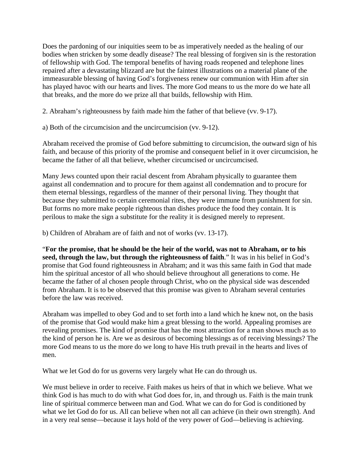Does the pardoning of our iniquities seem to be as imperatively needed as the healing of our bodies when stricken by some deadly disease? The real blessing of forgiven sin is the restoration of fellowship with God. The temporal benefits of having roads reopened and telephone lines repaired after a devastating blizzard are but the faintest illustrations on a material plane of the immeasurable blessing of having God's forgiveness renew our communion with Him after sin has played havoc with our hearts and lives. The more God means to us the more do we hate all that breaks, and the more do we prize all that builds, fellowship with Him.

2. Abraham's righteousness by faith made him the father of that believe (vv. 9-17).

a) Both of the circumcision and the uncircumcision (vv. 9-12).

Abraham received the promise of God before submitting to circumcision, the outward sign of his faith, and because of this priority of the promise and consequent belief in it over circumcision, he became the father of all that believe, whether circumcised or uncircumcised.

Many Jews counted upon their racial descent from Abraham physically to guarantee them against all condemnation and to procure for them against all condemnation and to procure for them eternal blessings, regardless of the manner of their personal living. They thought that because they submitted to certain ceremonial rites, they were immune from punishment for sin. But forms no more make people righteous than dishes produce the food they contain. It is perilous to make the sign a substitute for the reality it is designed merely to represent.

b) Children of Abraham are of faith and not of works (vv. 13-17).

"**For the promise, that he should be the heir of the world, was not to Abraham, or to his seed, through the law, but through the righteousness of faith**." It was in his belief in God's promise that God found righteousness in Abraham; and it was this same faith in God that made him the spiritual ancestor of all who should believe throughout all generations to come. He became the father of al chosen people through Christ, who on the physical side was descended from Abraham. It is to be observed that this promise was given to Abraham several centuries before the law was received.

Abraham was impelled to obey God and to set forth into a land which he knew not, on the basis of the promise that God would make him a great blessing to the world. Appealing promises are revealing promises. The kind of promise that has the most attraction for a man shows much as to the kind of person he is. Are we as desirous of becoming blessings as of receiving blessings? The more God means to us the more do we long to have His truth prevail in the hearts and lives of men.

What we let God do for us governs very largely what He can do through us.

We must believe in order to receive. Faith makes us heirs of that in which we believe. What we think God is has much to do with what God does for, in, and through us. Faith is the main trunk line of spiritual commerce between man and God. What we can do for God is conditioned by what we let God do for us. All can believe when not all can achieve (in their own strength). And in a very real sense—because it lays hold of the very power of God—believing is achieving.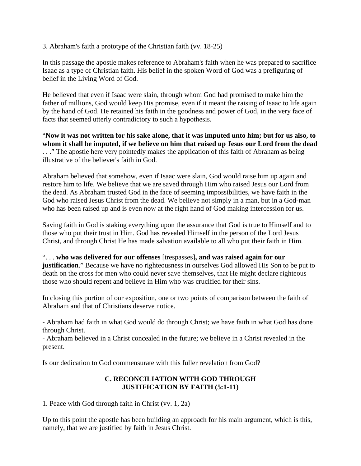3. Abraham's faith a prototype of the Christian faith (vv. 18-25)

In this passage the apostle makes reference to Abraham's faith when he was prepared to sacrifice Isaac as a type of Christian faith. His belief in the spoken Word of God was a prefiguring of belief in the Living Word of God.

He believed that even if Isaac were slain, through whom God had promised to make him the father of millions, God would keep His promise, even if it meant the raising of Isaac to life again by the hand of God. He retained his faith in the goodness and power of God, in the very face of facts that seemed utterly contradictory to such a hypothesis.

"**Now it was not written for his sake alone, that it was imputed unto him; but for us also, to whom it shall be imputed, if we believe on him that raised up Jesus our Lord from the dead** . . ." The apostle here very pointedly makes the application of this faith of Abraham as being illustrative of the believer's faith in God.

Abraham believed that somehow, even if Isaac were slain, God would raise him up again and restore him to life. We believe that we are saved through Him who raised Jesus our Lord from the dead. As Abraham trusted God in the face of seeming impossibilities, we have faith in the God who raised Jesus Christ from the dead. We believe not simply in a man, but in a God-man who has been raised up and is even now at the right hand of God making intercession for us.

Saving faith in God is staking everything upon the assurance that God is true to Himself and to those who put their trust in Him. God has revealed Himself in the person of the Lord Jesus Christ, and through Christ He has made salvation available to all who put their faith in Him.

". . . **who was delivered for our offenses** [trespasses]**, and was raised again for our justification**." Because we have no righteousness in ourselves God allowed His Son to be put to death on the cross for men who could never save themselves, that He might declare righteous those who should repent and believe in Him who was crucified for their sins.

In closing this portion of our exposition, one or two points of comparison between the faith of Abraham and that of Christians deserve notice.

- Abraham had faith in what God would do through Christ; we have faith in what God has done through Christ.

- Abraham believed in a Christ concealed in the future; we believe in a Christ revealed in the present.

Is our dedication to God commensurate with this fuller revelation from God?

## **C. RECONCILIATION WITH GOD THROUGH JUSTIFICATION BY FAITH (5:1-11)**

1. Peace with God through faith in Christ (vv. 1, 2a)

Up to this point the apostle has been building an approach for his main argument, which is this, namely, that we are justified by faith in Jesus Christ.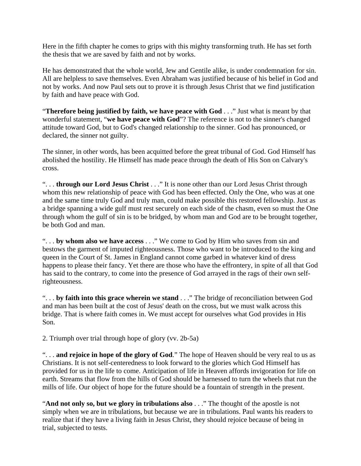Here in the fifth chapter he comes to grips with this mighty transforming truth. He has set forth the thesis that we are saved by faith and not by works.

He has demonstrated that the whole world, Jew and Gentile alike, is under condemnation for sin. All are helpless to save themselves. Even Abraham was justified because of his belief in God and not by works. And now Paul sets out to prove it is through Jesus Christ that we find justification by faith and have peace with God.

"**Therefore being justified by faith, we have peace with God** . . ." Just what is meant by that wonderful statement, "**we have peace with God**"? The reference is not to the sinner's changed attitude toward God, but to God's changed relationship to the sinner. God has pronounced, or declared, the sinner not guilty.

The sinner, in other words, has been acquitted before the great tribunal of God. God Himself has abolished the hostility. He Himself has made peace through the death of His Son on Calvary's cross.

". . . **through our Lord Jesus Christ** . . ." It is none other than our Lord Jesus Christ through whom this new relationship of peace with God has been effected. Only the One, who was at one and the same time truly God and truly man, could make possible this restored fellowship. Just as a bridge spanning a wide gulf must rest securely on each side of the chasm, even so must the One through whom the gulf of sin is to be bridged, by whom man and God are to be brought together, be both God and man.

". . . **by whom also we have access** . . ." We come to God by Him who saves from sin and bestows the garment of imputed righteousness. Those who want to be introduced to the king and queen in the Court of St. James in England cannot come garbed in whatever kind of dress happens to please their fancy. Yet there are those who have the effrontery, in spite of all that God has said to the contrary, to come into the presence of God arrayed in the rags of their own selfrighteousness.

". . . **by faith into this grace wherein we stand** . . ." The bridge of reconciliation between God and man has been built at the cost of Jesus' death on the cross, but we must walk across this bridge. That is where faith comes in. We must accept for ourselves what God provides in His Son.

2. Triumph over trial through hope of glory (vv. 2b-5a)

". . . **and rejoice in hope of the glory of God**." The hope of Heaven should be very real to us as Christians. It is not self-centeredness to look forward to the glories which God Himself has provided for us in the life to come. Anticipation of life in Heaven affords invigoration for life on earth. Streams that flow from the hills of God should be harnessed to turn the wheels that run the mills of life. Our object of hope for the future should be a fountain of strength in the present.

"**And not only so, but we glory in tribulations also** . . ." The thought of the apostle is not simply when we are in tribulations, but because we are in tribulations. Paul wants his readers to realize that if they have a living faith in Jesus Christ, they should rejoice because of being in trial, subjected to tests.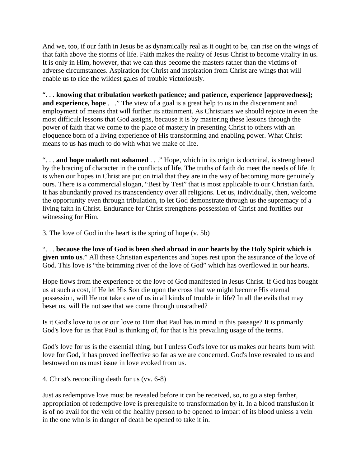And we, too, if our faith in Jesus be as dynamically real as it ought to be, can rise on the wings of that faith above the storms of life. Faith makes the reality of Jesus Christ to become vitality in us. It is only in Him, however, that we can thus become the masters rather than the victims of adverse circumstances. Aspiration for Christ and inspiration from Christ are wings that will enable us to ride the wildest gales of trouble victoriously.

". . . **knowing that tribulation worketh patience; and patience, experience [approvedness]; and experience, hope** . . ." The view of a goal is a great help to us in the discernment and employment of means that will further its attainment. As Christians we should rejoice in even the most difficult lessons that God assigns, because it is by mastering these lessons through the power of faith that we come to the place of mastery in presenting Christ to others with an eloquence born of a living experience of His transforming and enabling power. What Christ means to us has much to do with what we make of life.

". . . **and hope maketh not ashamed** . . ." Hope, which in its origin is doctrinal, is strengthened by the bracing of character in the conflicts of life. The truths of faith do meet the needs of life. It is when our hopes in Christ are put on trial that they are in the way of becoming more genuinely ours. There is a commercial slogan, "Best by Test" that is most applicable to our Christian faith. It has abundantly proved its transcendency over all religions. Let us, individually, then, welcome the opportunity even through tribulation, to let God demonstrate through us the supremacy of a living faith in Christ. Endurance for Christ strengthens possession of Christ and fortifies our witnessing for Him.

3. The love of God in the heart is the spring of hope (v. 5b)

". . . **because the love of God is been shed abroad in our hearts by the Holy Spirit which is given unto us**." All these Christian experiences and hopes rest upon the assurance of the love of God. This love is "the brimming river of the love of God" which has overflowed in our hearts.

Hope flows from the experience of the love of God manifested in Jesus Christ. If God has bought us at such a cost, if He let His Son die upon the cross that we might become His eternal possession, will He not take care of us in all kinds of trouble in life? In all the evils that may beset us, will He not see that we come through unscathed?

Is it God's love to us or our love to Him that Paul has in mind in this passage? It is primarily God's love for us that Paul is thinking of, for that is his prevailing usage of the terms.

God's love for us is the essential thing, but I unless God's love for us makes our hearts burn with love for God, it has proved ineffective so far as we are concerned. God's love revealed to us and bestowed on us must issue in love evoked from us.

4. Christ's reconciling death for us (vv. 6-8)

Just as redemptive love must be revealed before it can be received, so, to go a step farther, appropriation of redemptive love is prerequisite to transformation by it. In a blood transfusion it is of no avail for the vein of the healthy person to be opened to impart of its blood unless a vein in the one who is in danger of death be opened to take it in.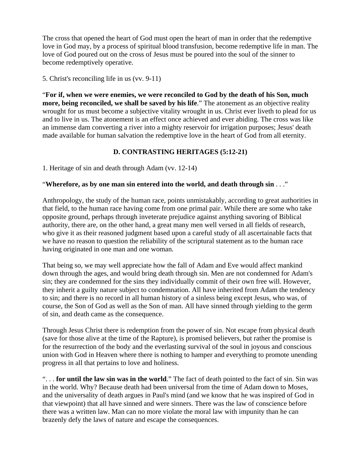The cross that opened the heart of God must open the heart of man in order that the redemptive love in God may, by a process of spiritual blood transfusion, become redemptive life in man. The love of God poured out on the cross of Jesus must be poured into the soul of the sinner to become redemptively operative.

5. Christ's reconciling life in us (vv. 9-11)

"**For if, when we were enemies, we were reconciled to God by the death of his Son, much more, being reconciled, we shall be saved by his life**." The atonement as an objective reality wrought for us must become a subjective vitality wrought in us. Christ ever liveth to plead for us and to live in us. The atonement is an effect once achieved and ever abiding. The cross was like an immense dam converting a river into a mighty reservoir for irrigation purposes; Jesus' death made available for human salvation the redemptive love in the heart of God from all eternity.

## **D. CONTRASTING HERITAGES (5:12-21)**

1. Heritage of sin and death through Adam (vv. 12-14)

### "**Wherefore, as by one man sin entered into the world, and death through sin** . . ."

Anthropology, the study of the human race, points unmistakably, according to great authorities in that field, to the human race having come from one primal pair. While there are some who take opposite ground, perhaps through inveterate prejudice against anything savoring of Biblical authority, there are, on the other hand, a great many men well versed in all fields of research, who give it as their reasoned judgment based upon a careful study of all ascertainable facts that we have no reason to question the reliability of the scriptural statement as to the human race having originated in one man and one woman.

That being so, we may well appreciate how the fall of Adam and Eve would affect mankind down through the ages, and would bring death through sin. Men are not condemned for Adam's sin; they are condemned for the sins they individually commit of their own free will. However, they inherit a guilty nature subject to condemnation. All have inherited from Adam the tendency to sin; and there is no record in all human history of a sinless being except Jesus, who was, of course, the Son of God as well as the Son of man. All have sinned through yielding to the germ of sin, and death came as the consequence.

Through Jesus Christ there is redemption from the power of sin. Not escape from physical death (save for those alive at the time of the Rapture), is promised believers, but rather the promise is for the resurrection of the body and the everlasting survival of the soul in joyous and conscious union with God in Heaven where there is nothing to hamper and everything to promote unending progress in all that pertains to love and holiness.

". . . **for until the law sin was in the world**." The fact of death pointed to the fact of sin. Sin was in the world. Why? Because death had been universal from the time of Adam down to Moses, and the universality of death argues in Paul's mind (and we know that he was inspired of God in that viewpoint) that all have sinned and were sinners. There was the law of conscience before there was a written law. Man can no more violate the moral law with impunity than he can brazenly defy the laws of nature and escape the consequences.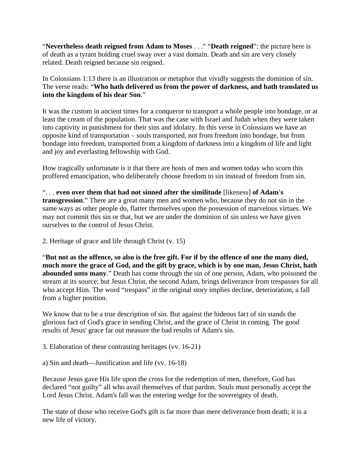"**Nevertheless death reigned from Adam to Moses** . . ." "**Death reigned**"; the picture here is of death as a tyrant holding cruel sway over a vast domain. Death and sin are very closely related. Death reigned because sin reigned.

In Colossians 1:13 there is an illustration or metaphor that vividly suggests the dominion of sin. The verse reads: "**Who hath delivered us from the power of darkness, and hath translated us into the kingdom of his dear Son**."

It was the custom in ancient times for a conqueror to transport a whole people into bondage, or at least the cream of the population. That was the case with Israel and Judah when they were taken into captivity in punishment for their sins and idolatry. In this verse in Colossians we have an opposite kind of transportation – souls transported, not from freedom into bondage, but from bondage into freedom, transported from a kingdom of darkness into a kingdom of life and light and joy and everlasting fellowship with God.

How tragically unfortunate is it that there are hosts of men and women today who scorn this proffered emancipation, who deliberately choose freedom to sin instead of freedom from sin.

". . . **even over them that had not sinned after the similitude** [likeness] **of Adam's transgression**." There are a great many men and women who, because they do not sin in the same ways as other people do, flatter themselves upon the possession of marvelous virtues. We may not commit this sin or that, but we are under the dominion of sin unless we have given ourselves to the control of Jesus Christ.

2. Heritage of grace and life through Christ (v. 15)

"**But not as the offence, so also is the free gift. For if by the offence of one the many died, much more the grace of God, and the gift by grace, which is by one man, Jesus Christ, hath abounded unto many**." Death has come through the sin of one person, Adam, who poisoned the stream at its source; but Jesus Christ, the second Adam, brings deliverance from trespasses for all who accept Him. The word "trespass" in the original story implies decline, deterioration, a fall from a higher position.

We know that to be a true description of sin. But against the hideous fact of sin stands the glorious fact of God's grace in sending Christ, and the grace of Christ in coming. The good results of Jesus' grace far out measure the bad results of Adam's sin.

3. Elaboration of these contrasting heritages (vv. 16-21)

a) Sin and death—Justification and life (vv. 16-18)

Because Jesus gave His life upon the cross for the redemption of men, therefore, God has declared "not guilty" all who avail themselves of that pardon. Souls must personally accept the Lord Jesus Christ. Adam's fall was the entering wedge for the sovereignty of death.

The state of those who receive God's gift is far more than mere deliverance from death; it is a new life of victory.